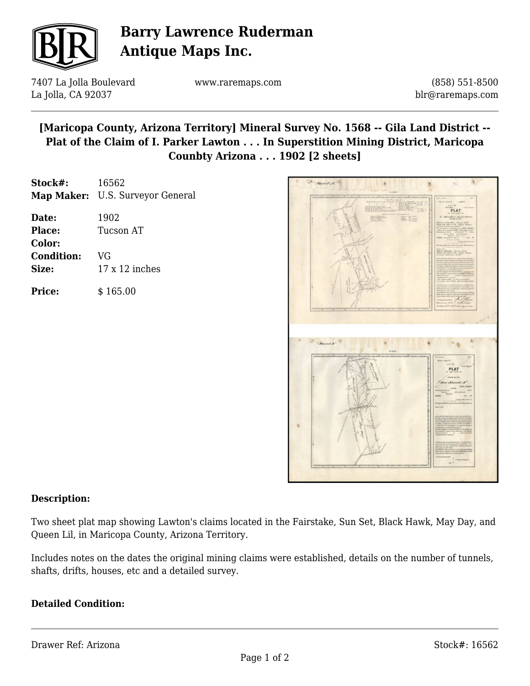

## **Barry Lawrence Ruderman Antique Maps Inc.**

7407 La Jolla Boulevard La Jolla, CA 92037

www.raremaps.com

(858) 551-8500 blr@raremaps.com

**[Maricopa County, Arizona Territory] Mineral Survey No. 1568 -- Gila Land District -- Plat of the Claim of I. Parker Lawton . . . In Superstition Mining District, Maricopa Counbty Arizona . . . 1902 [2 sheets]**

| Stock#:           | 16562                            |
|-------------------|----------------------------------|
|                   | Map Maker: U.S. Surveyor General |
| Date:             | 1902                             |
| Place:            | <b>Tucson AT</b>                 |
| Color:            |                                  |
| <b>Condition:</b> | VG                               |
| Size:             | $17 \times 12$ inches            |
|                   |                                  |

**Price:**  $$165.00$ 



## **Description:**

Two sheet plat map showing Lawton's claims located in the Fairstake, Sun Set, Black Hawk, May Day, and Queen Lil, in Maricopa County, Arizona Territory.

Includes notes on the dates the original mining claims were established, details on the number of tunnels, shafts, drifts, houses, etc and a detailed survey.

## **Detailed Condition:**